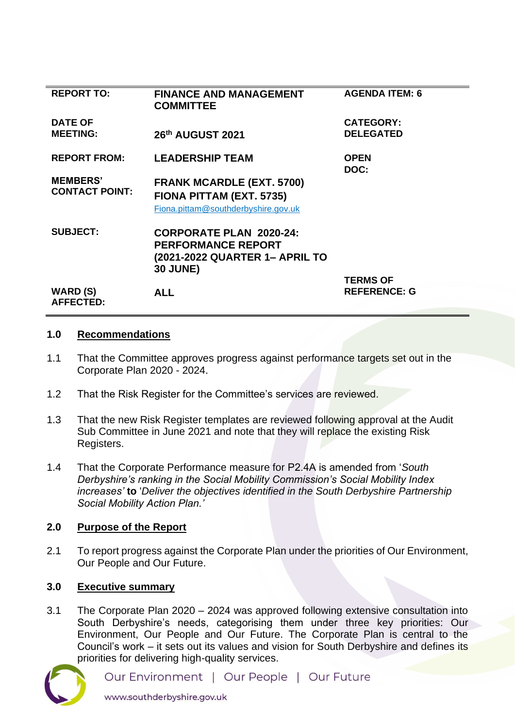| <b>REPORT TO:</b>                        | <b>FINANCE AND MANAGEMENT</b><br><b>COMMITTEE</b>                                                                | <b>AGENDA ITEM: 6</b>                |
|------------------------------------------|------------------------------------------------------------------------------------------------------------------|--------------------------------------|
| <b>DATE OF</b><br><b>MEETING:</b>        | 26th AUGUST 2021                                                                                                 | <b>CATEGORY:</b><br><b>DELEGATED</b> |
| <b>REPORT FROM:</b>                      | <b>LEADERSHIP TEAM</b>                                                                                           | <b>OPEN</b><br>DOC:                  |
| <b>MEMBERS'</b><br><b>CONTACT POINT:</b> | <b>FRANK MCARDLE (EXT. 5700)</b><br>FIONA PITTAM (EXT. 5735)<br>Fiona.pittam@southderbyshire.gov.uk              |                                      |
| <b>SUBJECT:</b>                          | <b>CORPORATE PLAN 2020-24:</b><br><b>PERFORMANCE REPORT</b><br>(2021-2022 QUARTER 1- APRIL TO<br><b>30 JUNE)</b> |                                      |
|                                          |                                                                                                                  | <b>TERMS OF</b>                      |
| WARD (S)<br><b>AFFECTED:</b>             | <b>ALL</b>                                                                                                       | <b>REFERENCE: G</b>                  |
|                                          |                                                                                                                  |                                      |

### **1.0 Recommendations**

- 1.1 That the Committee approves progress against performance targets set out in the Corporate Plan 2020 - 2024.
- 1.2 That the Risk Register for the Committee's services are reviewed.
- 1.3 That the new Risk Register templates are reviewed following approval at the Audit Sub Committee in June 2021 and note that they will replace the existing Risk Registers.
- 1.4 That the Corporate Performance measure for P2.4A is amended from '*South Derbyshire's ranking in the Social Mobility Commission's Social Mobility Index increases'* **to** '*Deliver the objectives identified in the South Derbyshire Partnership Social Mobility Action Plan.'*

## **2.0 Purpose of the Report**

2.1 To report progress against the Corporate Plan under the priorities of Our Environment, Our People and Our Future.

## **3.0 Executive summary**

3.1 The Corporate Plan 2020 – 2024 was approved following extensive consultation into South Derbyshire's needs, categorising them under three key priorities: Our Environment, Our People and Our Future. The Corporate Plan is central to the Council's work – it sets out its values and vision for South Derbyshire and defines its priorities for delivering high-quality services.



Our Environment | Our People | Our Future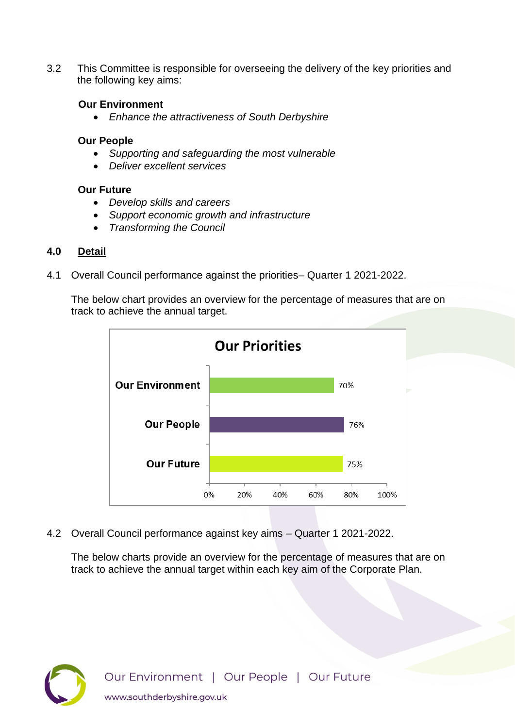3.2 This Committee is responsible for overseeing the delivery of the key priorities and the following key aims:

# **Our Environment**

• *Enhance the attractiveness of South Derbyshire* 

### **Our People**

- *Supporting and safeguarding the most vulnerable*
- *Deliver excellent services*

## **Our Future**

- *Develop skills and careers*
- *Support economic growth and infrastructure*
- *Transforming the Council*

# **4.0 Detail**

4.1 Overall Council performance against the priorities– Quarter 1 2021-2022.

The below chart provides an overview for the percentage of measures that are on track to achieve the annual target.



4.2 Overall Council performance against key aims – Quarter 1 2021-2022.

The below charts provide an overview for the percentage of measures that are on track to achieve the annual target within each key aim of the Corporate Plan.

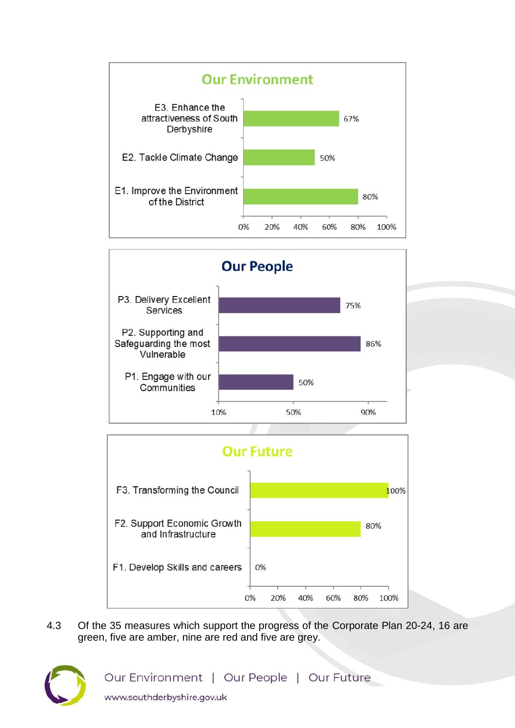





4.3 Of the 35 measures which support the progress of the Corporate Plan 20-24, 16 are green, five are amber, nine are red and five are grey.



Our Environment | Our People | Our Future www.southderbyshire.gov.uk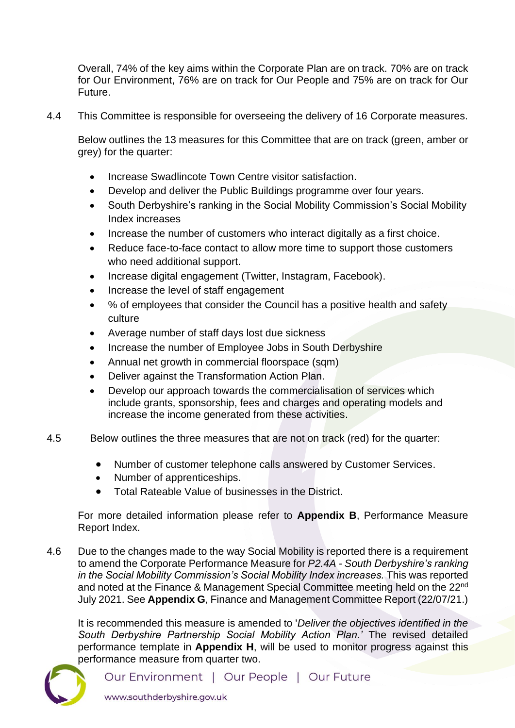Overall, 74% of the key aims within the Corporate Plan are on track. 70% are on track for Our Environment, 76% are on track for Our People and 75% are on track for Our Future.

4.4 This Committee is responsible for overseeing the delivery of 16 Corporate measures.

Below outlines the 13 measures for this Committee that are on track (green, amber or grey) for the quarter:

- Increase Swadlincote Town Centre visitor satisfaction.
- Develop and deliver the Public Buildings programme over four years.
- South Derbyshire's ranking in the Social Mobility Commission's Social Mobility Index increases
- [Increase the number of customers who interact digitally as a first choice.](https://southderbyshiregovuk.sharepoint.com/:w:/g/ERBlXwIN5i9It53WD-41148B1j_Xhoszu9rFmw-my7ct_w?e=3axgeV)
- [Reduce face-to-face contact to allow more time to support those customers](https://southderbyshiregovuk.sharepoint.com/:w:/g/ERsK_2eQOEFCtLQbdQzaTuAByPro1sawtMCs4YszErr-pw?e=bdTysg)  [who need additional support.](https://southderbyshiregovuk.sharepoint.com/:w:/g/ERsK_2eQOEFCtLQbdQzaTuAByPro1sawtMCs4YszErr-pw?e=bdTysg)
- [Increase digital engagement \(Twitter, Instagram, Facebook\).](https://southderbyshiregovuk.sharepoint.com/:w:/g/EU7_hHmehltAqnFXv5MZTVMBldRppq-lEM681waYAZKfIA?e=fKJfsc)
- Increase the level of staff engagement
- % of employees that consider the Council has a positive health and safety culture
- Average number of staff days lost due sickness
- Increase the number of Employee Jobs in South Derbyshire
- Annual net growth in commercial floorspace (sqm)
- [Deliver against the Transformation Action Plan.](https://southderbyshiregovuk.sharepoint.com/:w:/g/EWygLyTFirlHupC7gA2GUHQBxytpxB_EWezcDzPs8xKAjQ?e=m7zrdc)
- [Develop our approach towards the commercialisation of services which](https://southderbyshiregovuk.sharepoint.com/:w:/g/EdRZL78XqTBHpZm4ut-IXvcBQqZMtxcigHIZvBKTBciDAg?e=PfK6EA)  [include grants, sponsorship, fees and charges and operating models and](https://southderbyshiregovuk.sharepoint.com/:w:/g/EdRZL78XqTBHpZm4ut-IXvcBQqZMtxcigHIZvBKTBciDAg?e=PfK6EA)  [increase the income generated from these activities.](https://southderbyshiregovuk.sharepoint.com/:w:/g/EdRZL78XqTBHpZm4ut-IXvcBQqZMtxcigHIZvBKTBciDAg?e=PfK6EA)
- 4.5 Below outlines the three measures that are not on track (red) for the quarter:
	- Number of customer telephone calls answered by Customer Services.
	- Number of apprenticeships.
	- Total Rateable Value of businesses in the District.

For more detailed information please refer to **Appendix B**, Performance Measure Report Index.

4.6 Due to the changes made to the way Social Mobility is reported there is a requirement to amend the Corporate Performance Measure for *P2.4A - South Derbyshire's ranking in the Social Mobility Commission's Social Mobility Index increases.* This was reported and noted at the Finance & Management Special Committee meeting held on the 22<sup>nd</sup> July 2021. See **Appendix G**, Finance and Management Committee Report (22/07/21.)

It is recommended this measure is amended to '*Deliver the objectives identified in the South Derbyshire Partnership Social Mobility Action Plan.'* The revised detailed performance template in **Appendix H**, will be used to monitor progress against this performance measure from quarter two.



Our Environment | Our People | Our Future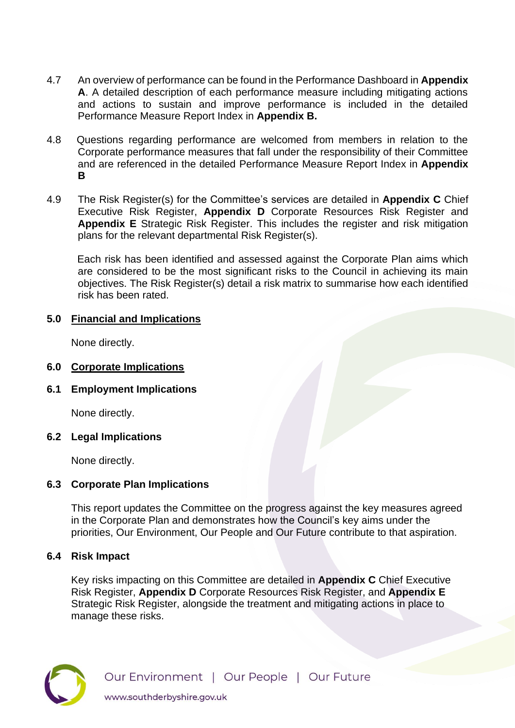- 4.7 An overview of performance can be found in the Performance Dashboard in **Appendix A**. A detailed description of each performance measure including mitigating actions and actions to sustain and improve performance is included in the detailed Performance Measure Report Index in **Appendix B.**
- 4.8 Questions regarding performance are welcomed from members in relation to the Corporate performance measures that fall under the responsibility of their Committee and are referenced in the detailed Performance Measure Report Index in **Appendix B**
- 4.9 The Risk Register(s) for the Committee's services are detailed in **Appendix C** Chief Executive Risk Register, **Appendix D** Corporate Resources Risk Register and **Appendix E** Strategic Risk Register. This includes the register and risk mitigation plans for the relevant departmental Risk Register(s).

Each risk has been identified and assessed against the Corporate Plan aims which are considered to be the most significant risks to the Council in achieving its main objectives. The Risk Register(s) detail a risk matrix to summarise how each identified risk has been rated.

# **5.0 Financial and Implications**

None directly.

- **6.0 Corporate Implications**
- **6.1 Employment Implications**

None directly.

## **6.2 Legal Implications**

None directly.

# **6.3 Corporate Plan Implications**

This report updates the Committee on the progress against the key measures agreed in the Corporate Plan and demonstrates how the Council's key aims under the priorities, Our Environment, Our People and Our Future contribute to that aspiration.

# **6.4 Risk Impact**

Key risks impacting on this Committee are detailed in **Appendix C** Chief Executive Risk Register, **Appendix D** Corporate Resources Risk Register, and **Appendix E** Strategic Risk Register, alongside the treatment and mitigating actions in place to manage these risks.

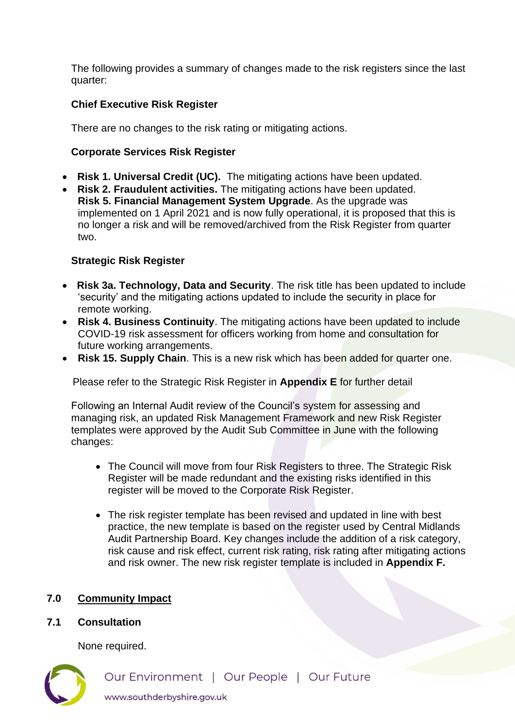The following provides a summary of changes made to the risk registers since the last quarter:

# **Chief Executive Risk Register**

There are no changes to the risk rating or mitigating actions.

## **Corporate Services Risk Register**

- **Risk 1. Universal Credit (UC).** The mitigating actions have been updated.
- **Risk 2. Fraudulent activities.** The mitigating actions have been updated. **Risk 5. Financial Management System Upgrade**. As the upgrade was implemented on 1 April 2021 and is now fully operational, it is proposed that this is no longer a risk and will be removed/archived from the Risk Register from quarter two.

# **Strategic Risk Register**

- • **Risk 3a. Technology, Data and Security**. The risk title has been updated to include 'security' and the mitigating actions updated to include the security in place for remote working.
- **Risk 4. Business Continuity**. The mitigating actions have been updated to include COVID-19 risk assessment for officers working from home and consultation for future working arrangements.
- **Risk 15. Supply Chain**. This is a new risk which has been added for quarter one.

Please refer to the Strategic Risk Register in **Appendix E** for further detail

Following an Internal Audit review of the Council's system for assessing and managing risk, an updated Risk Management Framework and new Risk Register templates were approved by the Audit Sub Committee in June with the following changes:

- The Council will move from four Risk Registers to three. The Strategic Risk Register will be made redundant and the existing risks identified in this register will be moved to the Corporate Risk Register.
- The risk register template has been revised and updated in line with best practice, the new template is based on the register used by Central Midlands Audit Partnership Board. Key changes include the addition of a risk category, risk cause and risk effect, current risk rating, risk rating after mitigating actions and risk owner. The new risk register template is included in **Appendix F.**

# **7.0 Community Impact**

## **7.1 Consultation**

None required.